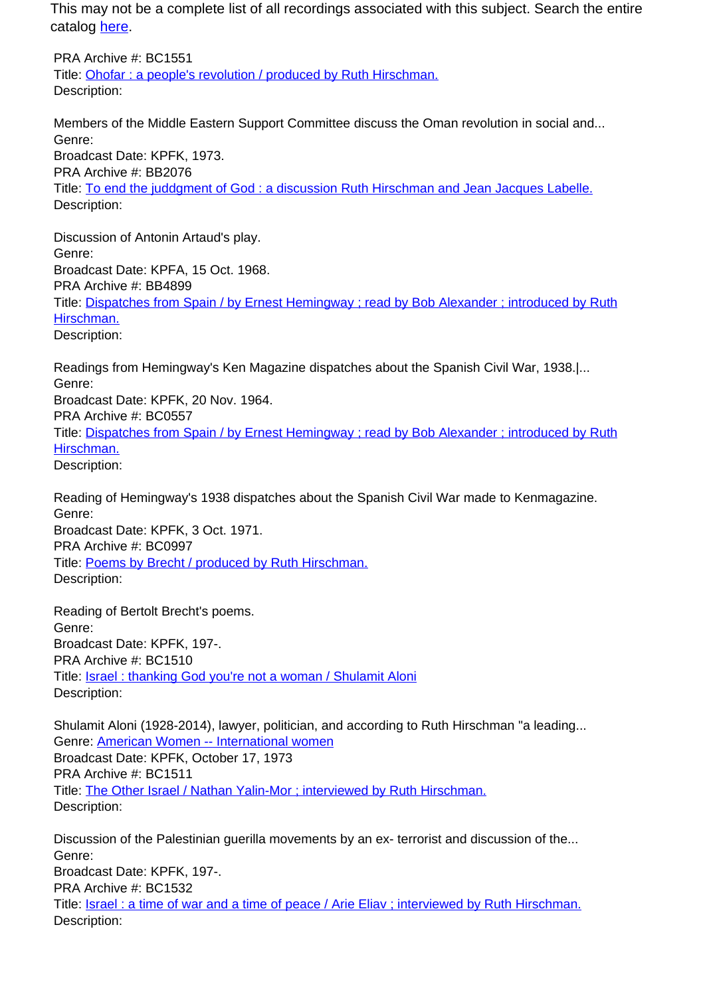This may not be a complete list of all recordings associated with this subject. Search the entire catalog [here.](http://pacificaradioarchives.org/keyword-search)

PRA Archive #: BC1551 Title: Ohofar : a people's revolution / produced by Ruth Hirschman. Description:

Members of the Middle Eastern Support Committee discuss the Oman revolution in social and... Genre: Broadcast Date: KPFK, 1973. PRA Archive #: BB2076 Title: To end the juddgment of God : a discussion Ruth Hirschman and Jean Jacques Labelle. Description:

Discussion of Antonin Artaud's play. Genre: Broadcast Date: KPFA, 15 Oct. 1968. PRA Archive #: BB4899 Title: Dispatches from Spain / by Ernest Hemingway ; read by Bob Alexander ; introduced by Ruth Hirschman. Description:

Readings from Hemingway's Ken Magazine dispatches about the Spanish Civil War, 1938.|... Genre: Broadcast Date: KPFK, 20 Nov. 1964. PRA Archive #: BC0557 Title: Dispatches from Spain / by Ernest Hemingway ; read by Bob Alexander ; introduced by Ruth Hirschman. Description:

Reading of Hemingway's 1938 dispatches about the Spanish Civil War made to Kenmagazine. Genre: Broadcast Date: KPFK, 3 Oct. 1971. PRA Archive #: BC0997 Title: Poems by Brecht / produced by Ruth Hirschman. Description:

Reading of Bertolt Brecht's poems. Genre: Broadcast Date: KPFK, 197-. PRA Archive #: BC1510 Title: Israel : thanking God you're not a woman / Shulamit Aloni Description:

Shulamit Aloni (1928-2014), lawyer, politician, and according to Ruth Hirschman "a leading... Genre: American Women -- International women Broadcast Date: KPFK, October 17, 1973 PRA Archive #: BC1511 Title: The Other Israel / Nathan Yalin-Mor ; interviewed by Ruth Hirschman. Description:

Discussion of the Palestinian guerilla movements by an ex- terrorist and discussion of the... Genre: Broadcast Date: KPFK, 197-. PRA Archive #: BC1532 Title: Israel : a time of war and a time of peace / Arie Eliav ; interviewed by Ruth Hirschman. Description: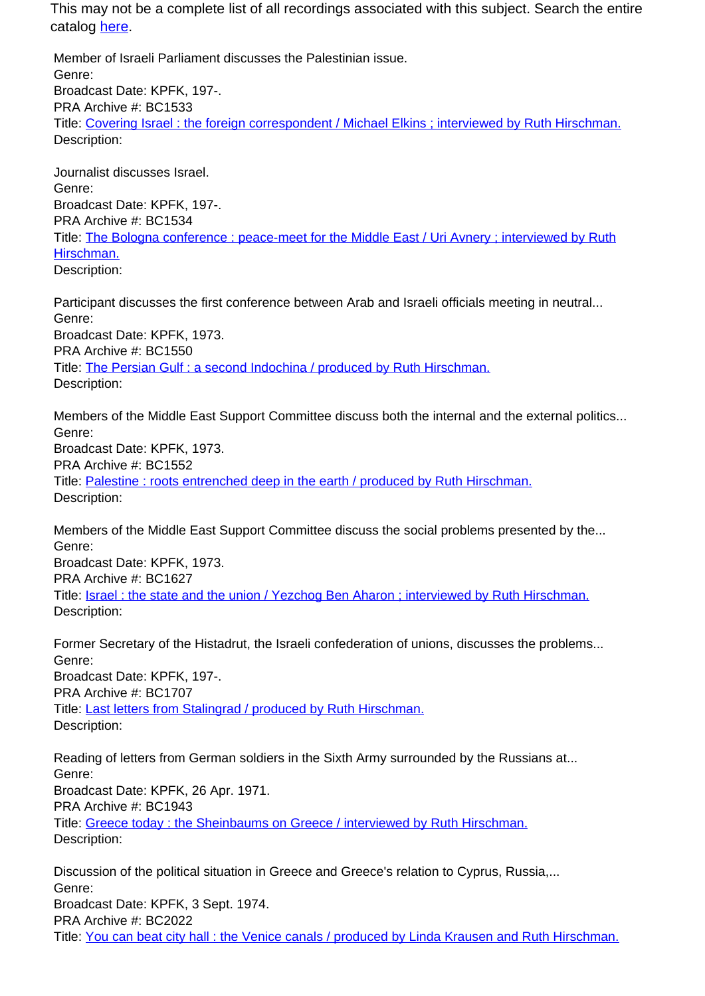This may not be a complete list of all recordings associated with this subject. Search the entire catalog here.

Member of Israeli Parliament discusses the Palestinian issue. Genre: Broadcast Date: KPFK, 197-. PRA Archive #: BC1533 Title: Covering Israel : the foreign correspondent / Michael Elkins ; interviewed by Ruth Hirschman. Description:

Journalist discusses Israel. Genre: Broadcast Date: KPFK, 197-. PRA Archive #: BC1534 Title: The Bologna conference : peace-meet for the Middle East / Uri Avnery : interviewed by Ruth Hirschman. Description:

Participant discusses the first conference between Arab and Israeli officials meeting in neutral... Genre: Broadcast Date: KPFK, 1973. PRA Archive #: BC1550 Title: The Persian Gulf : a second Indochina / produced by Ruth Hirschman. Description:

Members of the Middle East Support Committee discuss both the internal and the external politics... Genre: Broadcast Date: KPFK, 1973. PRA Archive #: BC1552 Title: Palestine : roots entrenched deep in the earth / produced by Ruth Hirschman. Description:

Members of the Middle East Support Committee discuss the social problems presented by the... Genre:

Broadcast Date: KPFK, 1973. PRA Archive #: BC1627 Title: Israel : the state and the union / Yezchog Ben Aharon ; interviewed by Ruth Hirschman. Description:

Former Secretary of the Histadrut, the Israeli confederation of unions, discusses the problems... Genre: Broadcast Date: KPFK, 197-. PRA Archive #: BC1707 Title: Last letters from Stalingrad / produced by Ruth Hirschman. Description:

Reading of letters from German soldiers in the Sixth Army surrounded by the Russians at... Genre: Broadcast Date: KPFK, 26 Apr. 1971. PRA Archive #: BC1943 Title: Greece today : the Sheinbaums on Greece / interviewed by Ruth Hirschman. Description:

Discussion of the political situation in Greece and Greece's relation to Cyprus, Russia,... Genre: Broadcast Date: KPFK, 3 Sept. 1974. PRA Archive #: BC2022 Title: You can beat city hall : the Venice canals / produced by Linda Krausen and Ruth Hirschman.